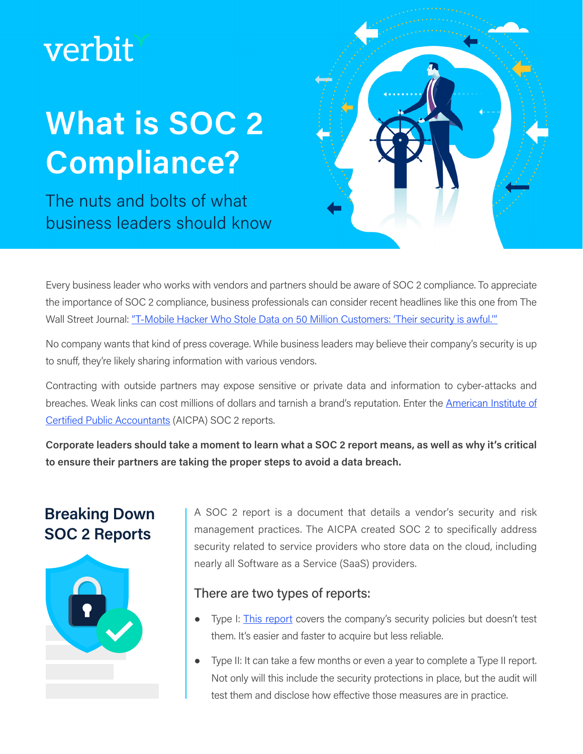# verbit

# **What is SOC 2 Compliance?**

The nuts and bolts of what business leaders should know



Every business leader who works with vendors and partners should be aware of SOC 2 compliance. To appreciate the importance of SOC 2 compliance, business professionals can consider recent headlines like this one from The Wall Street Journal: ["T-Mobile Hacker Who Stole Data on 50 Million Customers: 'Their security is awful.'"](https://www.wsj.com/articles/t-mobile-hacker-who-stole-data-on-50-million-customers-their-security-is-awful-11629985105)

No company wants that kind of press coverage. While business leaders may believe their company's security is up to snuff, they're likely sharing information with various vendors.

Contracting with outside partners may expose sensitive or private data and information to cyber-attacks and breaches. Weak links can cost millions of dollars and tarnish a brand's reputation. Enter the **American Institute of** [Certified Public Accountants](https://www.aicpa.org/interestareas/frc/assuranceadvisoryservices/serviceorganization-smanagement.html) (AICPA) SOC 2 reports.

**Corporate leaders should take a moment to learn what a SOC 2 report means, as well as why it's critical to ensure their partners are taking the proper steps to avoid a data breach.**

# **Breaking Down SOC 2 Reports**



A SOC 2 report is a document that details a vendor's security and risk management practices. The AICPA created SOC 2 to specifically address security related to service providers who store data on the cloud, including nearly all Software as a Service (SaaS) providers.

#### There are [two types](https://www.mpamag.com/us/news/general/the-importance-of-soc-2-type-ii-certifications-in-vendor-sourcing/108901) of reports:

- Type I: [This report](https://www.mpamag.com/us/news/general/the-importance-of-soc-2-type-ii-certifications-in-vendor-sourcing/108901) covers the company's security policies but doesn't test them. It's easier and faster to acquire but less reliable.
- Type II: It can take a few months or even a year to complete a Type II report. Not only will this include the security protections in place, but the audit will test them and disclose how effective those measures are in practice.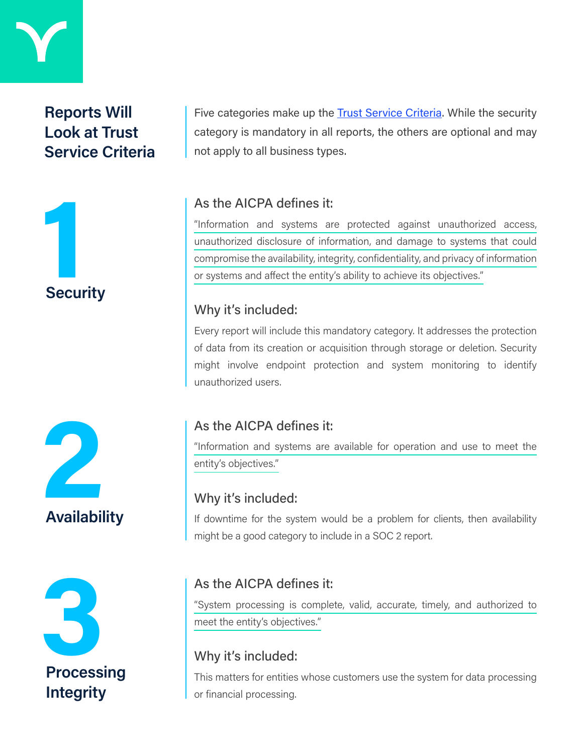

# **Reports Will Look at Trust Service Criteria**



Five categories make up the **Trust Service Criteria**. While the security category is mandatory in all reports, the others are optional and may not apply to all business types.

#### As the AICPA defines it:

"Information and systems are protected against unauthorized access, unauthorized disclosure of information, and damage to systems that could compromise the availability, integrity, confidentiality, and privacy of information or systems and affect the entity's ability to achieve its objectives."

#### Why it's included:

Every report will include this mandatory category. It addresses the protection of data from its creation or acquisition through storage or deletion. Security might involve endpoint protection and system monitoring to identify unauthorized users.





## As the AICPA defines it:

"Information and systems are available for operation and use to meet the entity's objectives."

#### Why it's included:

If downtime for the system would be a problem for clients, then availability might be a good category to include in a SOC 2 report.

#### As the AICPA defines it:

"System processing is complete, valid, accurate, timely, and authorized to meet the entity's objectives."

## Why it's included:

This matters for entities whose customers use the system for data processing or financial processing.